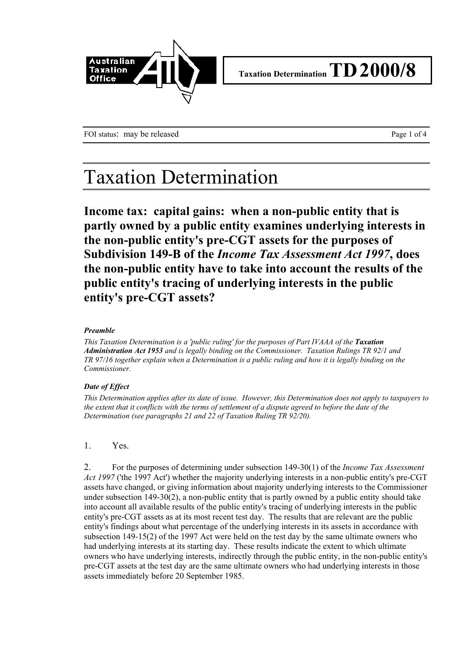

FOI status: may be released Page 1 of 4

## Taxation Determination

**Income tax: capital gains: when a non-public entity that is partly owned by a public entity examines underlying interests in the non-public entity's pre-CGT assets for the purposes of Subdivision 149-B of the** *Income Tax Assessment Act 1997***, does the non-public entity have to take into account the results of the public entity's tracing of underlying interests in the public entity's pre-CGT assets?**

#### *Preamble*

*This Taxation Determination is a 'public ruling' for the purposes of Part IVAAA of the Taxation Administration Act 1953 and is legally binding on the Commissioner. Taxation Rulings TR 92/1 and TR 97/16 together explain when a Determination is a public ruling and how it is legally binding on the Commissioner.*

### *Date of Effect*

*This Determination applies after its date of issue. However, this Determination does not apply to taxpayers to the extent that it conflicts with the terms of settlement of a dispute agreed to before the date of the Determination (see paragraphs 21 and 22 of Taxation Ruling TR 92/20).*

### 1. Yes.

2. For the purposes of determining under subsection 149-30(1) of the *Income Tax Assessment Act 1997* ('the 1997 Act') whether the majority underlying interests in a non-public entity's pre-CGT assets have changed, or giving information about majority underlying interests to the Commissioner under subsection 149-30(2), a non-public entity that is partly owned by a public entity should take into account all available results of the public entity's tracing of underlying interests in the public entity's pre-CGT assets as at its most recent test day. The results that are relevant are the public entity's findings about what percentage of the underlying interests in its assets in accordance with subsection 149-15(2) of the 1997 Act were held on the test day by the same ultimate owners who had underlying interests at its starting day. These results indicate the extent to which ultimate owners who have underlying interests, indirectly through the public entity, in the non-public entity's pre-CGT assets at the test day are the same ultimate owners who had underlying interests in those assets immediately before 20 September 1985.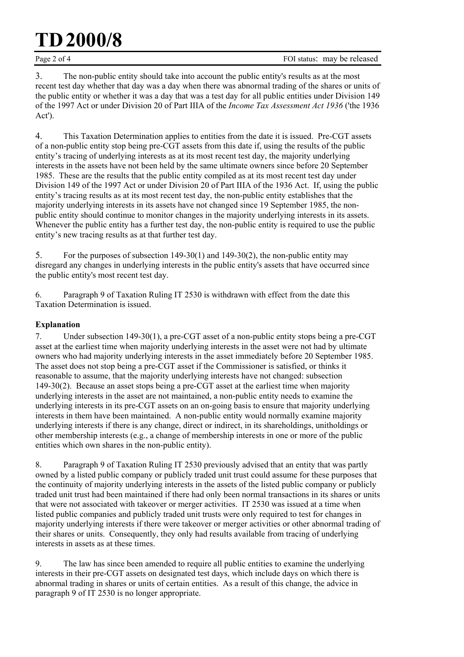# **TD2000/8**

3. The non-public entity should take into account the public entity's results as at the most recent test day whether that day was a day when there was abnormal trading of the shares or units of the public entity or whether it was a day that was a test day for all public entities under Division 149 of the 1997 Act or under Division 20 of Part IIIA of the *Income Tax Assessment Act 1936* ('the 1936 Act').

4. This Taxation Determination applies to entities from the date it is issued. Pre-CGT assets of a non-public entity stop being pre-CGT assets from this date if, using the results of the public entity's tracing of underlying interests as at its most recent test day, the majority underlying interests in the assets have not been held by the same ultimate owners since before 20 September 1985. These are the results that the public entity compiled as at its most recent test day under Division 149 of the 1997 Act or under Division 20 of Part IIIA of the 1936 Act. If, using the public entity's tracing results as at its most recent test day, the non-public entity establishes that the majority underlying interests in its assets have not changed since 19 September 1985, the nonpublic entity should continue to monitor changes in the majority underlying interests in its assets. Whenever the public entity has a further test day, the non-public entity is required to use the public entity's new tracing results as at that further test day.

5. For the purposes of subsection 149-30(1) and 149-30(2), the non-public entity may disregard any changes in underlying interests in the public entity's assets that have occurred since the public entity's most recent test day.

6. Paragraph 9 of Taxation Ruling IT 2530 is withdrawn with effect from the date this Taxation Determination is issued.

### **Explanation**

7. Under subsection 149-30(1), a pre-CGT asset of a non-public entity stops being a pre-CGT asset at the earliest time when majority underlying interests in the asset were not had by ultimate owners who had majority underlying interests in the asset immediately before 20 September 1985. The asset does not stop being a pre-CGT asset if the Commissioner is satisfied, or thinks it reasonable to assume, that the majority underlying interests have not changed: subsection 149-30(2). Because an asset stops being a pre-CGT asset at the earliest time when majority underlying interests in the asset are not maintained, a non-public entity needs to examine the underlying interests in its pre-CGT assets on an on-going basis to ensure that majority underlying interests in them have been maintained. A non-public entity would normally examine majority underlying interests if there is any change, direct or indirect, in its shareholdings, unitholdings or other membership interests (e.g., a change of membership interests in one or more of the public entities which own shares in the non-public entity).

8. Paragraph 9 of Taxation Ruling IT 2530 previously advised that an entity that was partly owned by a listed public company or publicly traded unit trust could assume for these purposes that the continuity of majority underlying interests in the assets of the listed public company or publicly traded unit trust had been maintained if there had only been normal transactions in its shares or units that were not associated with takeover or merger activities. IT 2530 was issued at a time when listed public companies and publicly traded unit trusts were only required to test for changes in majority underlying interests if there were takeover or merger activities or other abnormal trading of their shares or units. Consequently, they only had results available from tracing of underlying interests in assets as at these times.

9. The law has since been amended to require all public entities to examine the underlying interests in their pre-CGT assets on designated test days, which include days on which there is abnormal trading in shares or units of certain entities. As a result of this change, the advice in paragraph 9 of IT 2530 is no longer appropriate.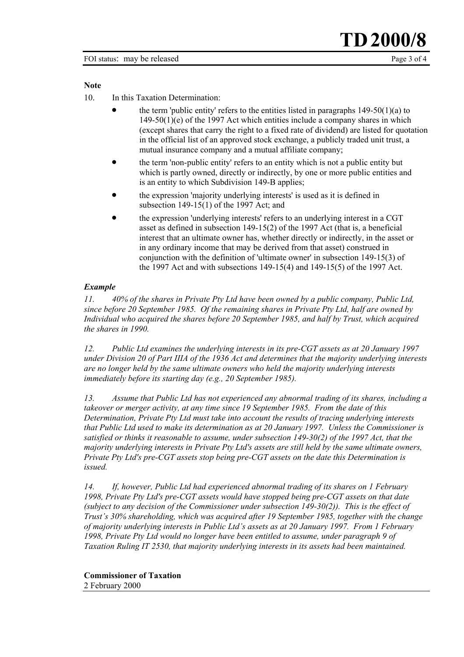#### **Note**

10. In this Taxation Determination:

- the term 'public entity' refers to the entities listed in paragraphs  $149-50(1)(a)$  to 149-50(1)(e) of the 1997 Act which entities include a company shares in which (except shares that carry the right to a fixed rate of dividend) are listed for quotation in the official list of an approved stock exchange, a publicly traded unit trust, a mutual insurance company and a mutual affiliate company;
- the term 'non-public entity' refers to an entity which is not a public entity but which is partly owned, directly or indirectly, by one or more public entities and is an entity to which Subdivision 149-B applies;
- the expression 'majority underlying interests' is used as it is defined in subsection 149-15(1) of the 1997 Act; and
- the expression 'underlying interests' refers to an underlying interest in a CGT asset as defined in subsection 149-15(2) of the 1997 Act (that is, a beneficial interest that an ultimate owner has, whether directly or indirectly, in the asset or in any ordinary income that may be derived from that asset) construed in conjunction with the definition of 'ultimate owner' in subsection 149-15(3) of the 1997 Act and with subsections 149-15(4) and 149-15(5) of the 1997 Act.

#### *Example*

*11. 40% of the shares in Private Pty Ltd have been owned by a public company, Public Ltd, since before 20 September 1985. Of the remaining shares in Private Pty Ltd, half are owned by Individual who acquired the shares before 20 September 1985, and half by Trust, which acquired the shares in 1990.*

*12. Public Ltd examines the underlying interests in its pre-CGT assets as at 20 January 1997 under Division 20 of Part IIIA of the 1936 Act and determines that the majority underlying interests are no longer held by the same ultimate owners who held the majority underlying interests immediately before its starting day (e.g., 20 September 1985).*

*13. Assume that Public Ltd has not experienced any abnormal trading of its shares, including a takeover or merger activity, at any time since 19 September 1985. From the date of this Determination, Private Pty Ltd must take into account the results of tracing underlying interests that Public Ltd used to make its determination as at 20 January 1997. Unless the Commissioner is satisfied or thinks it reasonable to assume, under subsection 149-30(2) of the 1997 Act, that the majority underlying interests in Private Pty Ltd's assets are still held by the same ultimate owners, Private Pty Ltd's pre-CGT assets stop being pre-CGT assets on the date this Determination is issued.*

*14. If, however, Public Ltd had experienced abnormal trading of its shares on 1 February 1998, Private Pty Ltd's pre-CGT assets would have stopped being pre-CGT assets on that date (subject to any decision of the Commissioner under subsection 149-30(2)). This is the effect of Trust's 30% shareholding, which was acquired after 19 September 1985, together with the change of majority underlying interests in Public Ltd's assets as at 20 January 1997. From 1 February 1998, Private Pty Ltd would no longer have been entitled to assume, under paragraph 9 of Taxation Ruling IT 2530, that majority underlying interests in its assets had been maintained.*

**Commissioner of Taxation** 2 February 2000